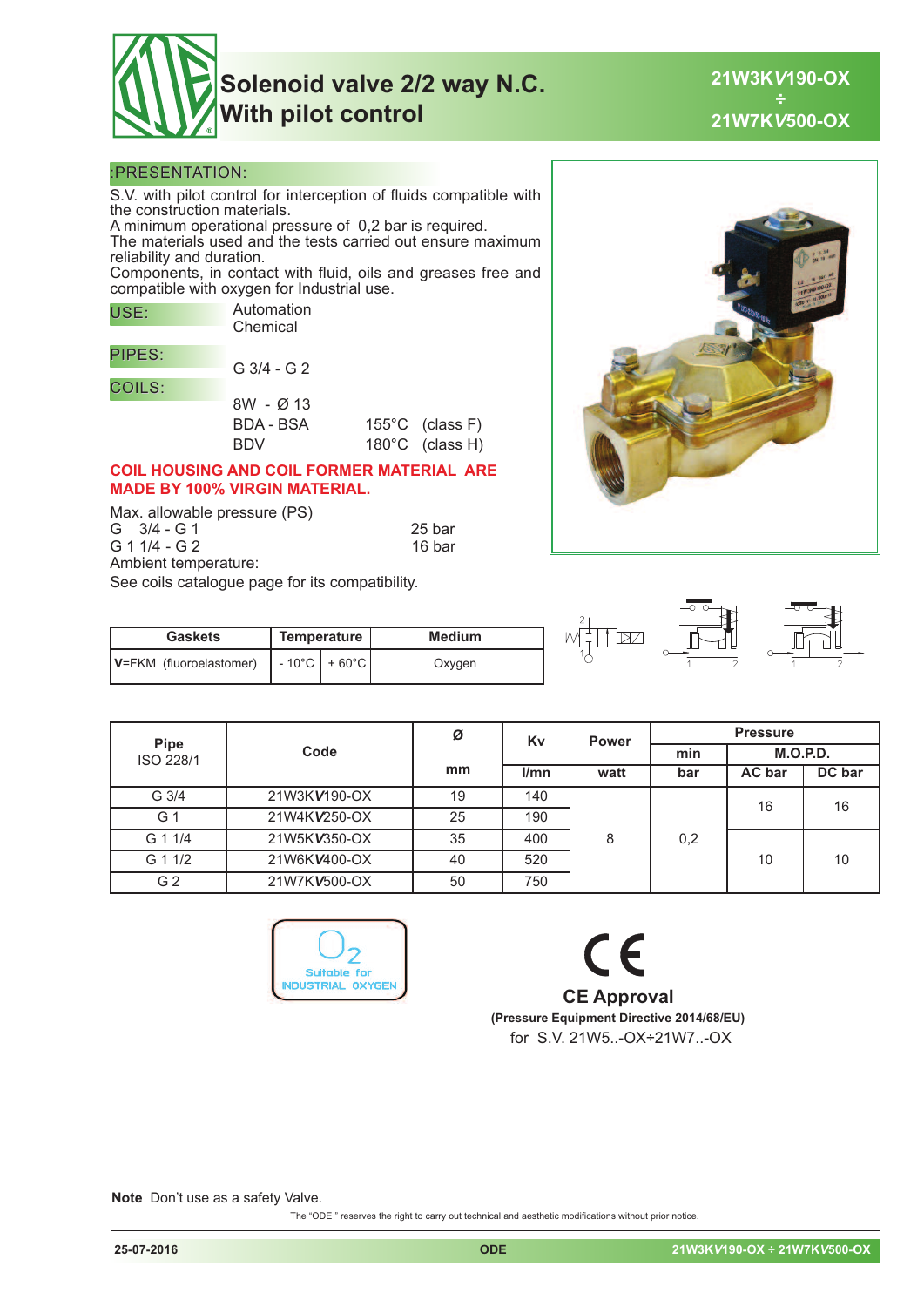

**21W3K***V***190-OX ÷ 21W7K***V***500-OX**

#### :PRESENTATION:

S.V. with pilot control for interception of fluids compatible with the construction materials.

A minimum operational pressure of 0,2 bar is required. The materials used and the tests carried out ensure maximum reliability and duration.

Components, in contact with fluid, oils and greases free and compatible with oxygen for Industrial use.

| USE:          | Automation<br>Chemical |                           |
|---------------|------------------------|---------------------------|
|               |                        |                           |
| PIPES:        |                        |                           |
|               | $G$ 3/4 - G 2          |                           |
| <b>COILS:</b> |                        |                           |
|               | 8W - Ø 13              |                           |
|               | <b>BDA - BSA</b>       | $155^{\circ}$ C (class F) |
|               | BDV                    | 180°C (class H)           |

#### **COIL HOUSING AND COIL FORMER MATERIAL ARE MADE BY 100% VIRGIN MATERIAL.**

Max. allowable pressure (PS) G 3/4 - G 1 25 bar 31/4 - G 2 25 bar 31/4 - G 2 G 1 1/4 - G 2 Ambient temperature: See coils catalogue page for its compatibility.

**Gaskets Temperature Medium V**=FKM (fluoroelastomer)  $\vert \cdot 10^{\circ}$ C + 60°C  $\vert$  Oxygen





| <b>Pipe</b><br>ISO 228/1 |              | Ø  | Kv   | <b>Power</b> | <b>Pressure</b> |          |        |
|--------------------------|--------------|----|------|--------------|-----------------|----------|--------|
|                          | Code         |    |      |              | min             | M.O.P.D. |        |
|                          |              | mm | l/mn | watt         | bar             | AC bar   | DC bar |
| $G \frac{3}{4}$          | 21W3KV190-OX | 19 | 140  |              |                 | 16       | 16     |
| G 1                      | 21W4KV250-OX | 25 | 190  |              |                 |          |        |
| G 1 1/4                  | 21W5KV350-OX | 35 | 400  | 8            | 0,2             |          |        |
| G 1 1/2                  | 21W6KV400-OX | 40 | 520  |              |                 |          | 10     |
| G 2                      | 21W7KV500-OX | 50 | 750  |              |                 |          |        |



# $\epsilon$ **CE Approval (Pressure Equipment Directive 2014/68/EU)** for S.V. 21W5..-OX÷21W7..-OX

**Note** Don't use as a safety Valve.

The "ODE " reserves the right to carry out technical and aesthetic modifications without prior notice.